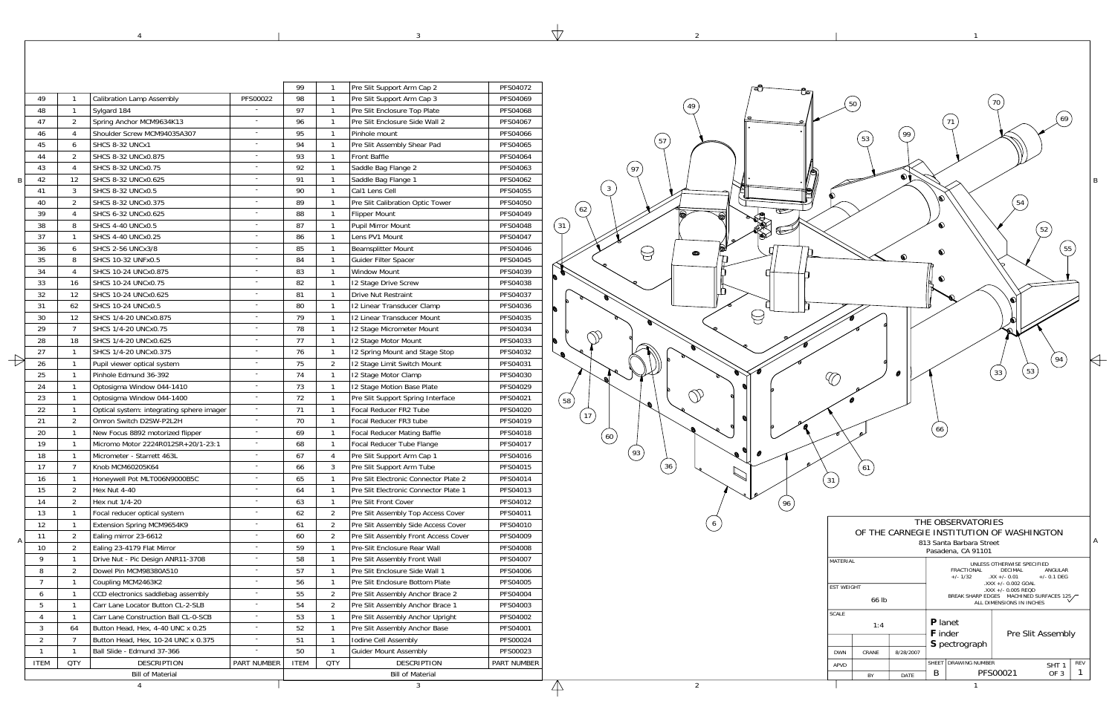1

2

 $\mathcal{L}$ 

3

 $\forall$ 

4

|                              |                                                                                   |                                           |                          | 99          | $\mathbf{1}$                                 | Pre Slit Support Arm Cap 2                    | PFS04072                         |
|------------------------------|-----------------------------------------------------------------------------------|-------------------------------------------|--------------------------|-------------|----------------------------------------------|-----------------------------------------------|----------------------------------|
| 49<br>$\mathbf{1}$           |                                                                                   | <b>Calibration Lamp Assembly</b>          | PFS00022                 | 98          | $\mathbf{1}$                                 | Pre Slit Support Arm Cap 3                    | PFS04069                         |
| 48                           | $\mathbf{1}$                                                                      | Sylgard 184                               |                          | 97          | $\mathbf{1}$                                 | Pre Slit Enclosure Top Plate                  | PFS04068                         |
| 47                           | $\overline{2}$                                                                    | Spring Anchor MCM9634K13                  | $\sim$                   | 96          | $\mathbf{1}$                                 | Pre Slit Enclosure Side Wall 2                | PFS04067                         |
| 46                           | Shoulder Screw MCM94035A307<br>4<br>6<br>SHCS 8-32 UNCx1                          |                                           | $\sim$<br>$\sim$         | 95<br>94    | $\mathbf{1}$<br>$\mathbf{1}$                 | Pinhole mount                                 | PFS04066                         |
| 45                           |                                                                                   |                                           |                          |             |                                              | Pre Slit Assembly Shear Pad                   | PFS04065                         |
| 44                           | 2                                                                                 | SHCS 8-32 UNCx0.875                       | $\sim$                   | 93          | $\mathbf{1}$                                 | Front Baffle                                  | PFS04064                         |
| 43                           | 4                                                                                 | SHCS 8-32 UNCx0.75                        | $\sim$                   | 92          | $\mathbf{1}$                                 | Saddle Bag Flange 2                           | PFS04063                         |
| 42                           | 12                                                                                | SHCS 8-32 UNCx0.625                       | $\sim$                   | 91          | $\mathbf{1}$                                 | Saddle Bag Flange 1                           | PFS04062                         |
| 41                           | 3                                                                                 | <b>SHCS 8-32 UNCx0.5</b>                  | $\sim$                   | 90          | $\mathbf{1}$                                 | Cal1 Lens Cell                                | PFS04055                         |
| 40                           | $\overline{2}$                                                                    | SHCS 8-32 UNCx0.375                       | $\blacksquare$           | 89          | $\mathbf{1}$                                 | Pre Slit Calibration Optic Tower              | PFS04050                         |
| 39                           | 4                                                                                 | SHCS 6-32 UNCx0.625                       | $\sim$                   | 88          | $\mathbf{1}$                                 | <b>Flipper Mount</b>                          | PFS04049                         |
| 38                           | 8                                                                                 | <b>SHCS 4-40 UNCx0.5</b>                  | $\sim$                   | 87          | $\mathbf{1}$                                 | <b>Pupil Mirror Mount</b>                     | PFS04048                         |
| 37                           | $\mathbf{1}$                                                                      | <b>SHCS 4-40 UNCx0.25</b>                 | $\sim$                   | 86          | $\mathbf{1}$                                 | Lens PV1 Mount                                | PFS04047                         |
| 36                           | 6                                                                                 | <b>SHCS 2-56 UNCx3/8</b>                  | $\sim$                   | 85          | $\mathbf{1}$                                 | <b>Beamsplitter Mount</b>                     | PFS04046                         |
| 35                           | 8<br>SHCS 10-32 UNFx0.5<br>4<br>SHCS 10-24 UNCx0.875<br>16<br>SHCS 10-24 UNCx0.75 |                                           | $\sim$<br>$\sim$         | 84          | $\mathbf{1}$<br>$\mathbf{1}$<br>$\mathbf{1}$ | Guider Filter Spacer                          | PFS04045<br>PFS04039<br>PFS04038 |
| 34                           |                                                                                   |                                           |                          | 83          |                                              | <b>Window Mount</b>                           |                                  |
| 33                           |                                                                                   |                                           |                          | 82          |                                              | 12 Stage Drive Screw                          |                                  |
| 32                           | 12                                                                                | SHCS 10-24 UNCx0.625                      | $\sim$                   | 81          | $\mathbf{1}$                                 | Drive Nut Restraint                           | PFS04037                         |
| 31                           | 62                                                                                | SHCS 10-24 UNCx0.5                        | $\blacksquare$           | 80          | $\mathbf{1}$                                 | 12 Linear Transducer Clamp                    | PFS04036                         |
| 30                           | 12                                                                                | SHCS 1/4-20 UNCx0.875                     | $\bar{a}$                | 79          | $\mathbf{1}$                                 | 12 Linear Transducer Mount                    | PFS04035                         |
| 29                           | $\overline{7}$                                                                    | SHCS 1/4-20 UNCx0.75                      | $\sim$                   | 78          | $\mathbf{1}$                                 | 12 Stage Micrometer Mount                     | PFS04034                         |
| 28                           | 18                                                                                | SHCS 1/4-20 UNCx0.625                     | $\sim$                   | 77          | $\mathbf{1}$                                 | 12 Stage Motor Mount                          | PFS04033                         |
| 27                           | $\mathbf{1}$                                                                      | SHCS 1/4-20 UNCx0.375                     | $\sim$                   | 76          | $\mathbf{1}$                                 | 12 Spring Mount and Stage Stop                | PFS04032                         |
| 26                           | $\mathbf{1}$                                                                      | Pupil viewer optical system               | $\sim$                   | 75          | $\overline{2}$                               | 12 Stage Limit Switch Mount                   | PFS04031                         |
| 25                           | $\mathbf{1}$                                                                      | Pinhole Edmund 36-392                     | $\overline{a}$           | 74          | $\mathbf{1}$                                 | 12 Stage Motor Clamp                          | PFS04030                         |
| 24                           | $\mathbf{1}$                                                                      | Optosigma Window 044-1410                 | $\overline{\phantom{a}}$ | 73          | $\mathbf{1}$                                 | 12 Stage Motion Base Plate                    | PFS04029                         |
| 23                           | $\mathbf{1}$                                                                      | Optosigma Window 044-1400                 | $\sim$                   | 72          | $\mathbf{1}$                                 | Pre Slit Support Spring Interface             | PFS04021                         |
| 22                           | $\mathbf{1}$                                                                      | Optical system: integrating sphere imager | $\blacksquare$           | 71          | $\mathbf{1}$                                 | Focal Reducer FR2 Tube                        | PFS04020                         |
| 21                           | $\overline{2}$                                                                    | Omron Switch D2SW-P2L2H                   | $\bar{a}$                | 70          | $\mathbf{1}$                                 | Focal Reducer FR3 tube                        | PFS04019                         |
| 20                           | $\mathbf{1}$                                                                      | New Focus 8892 motorized flipper          | $\sim$                   | 69          | $\mathbf{1}$                                 | <b>Focal Reducer Mating Baffle</b>            | PFS04018                         |
| 19                           | $\mathbf{1}$                                                                      | Micromo Motor 2224R012SR+20/1-23:1        | $\blacksquare$           | 68          | $\mathbf{1}$                                 | Focal Reducer Tube Flange                     | PFS04017                         |
| 18                           | $\mathbf{1}$<br>Micrometer - Starrett 463L                                        |                                           | $\sim$                   | 67          | $\overline{4}$                               | Pre Slit Support Arm Cap 1                    | PFS04016                         |
| 17                           | $\overline{7}$                                                                    | Knob MCM60205K64                          | $\sim$                   | 66          | 3                                            | Pre Slit Support Arm Tube                     | PFS04015                         |
| 16                           | 1                                                                                 | Honeywell Pot MLT006N9000B5C              |                          | 65          | 1                                            | Pre Slit Electronic Connector Plate 2         | PFS04014                         |
| 15                           | 2                                                                                 | Hex Nut 4-40                              |                          | 64          | $\mathbf{1}$                                 | Pre Slit Electronic Connector Plate 1         | PFS04013                         |
| 14                           | $\overline{2}$                                                                    | Hex nut 1/4-20                            | $\sim$                   | 63          | $\mathbf{1}$                                 | Pre Slit Front Cover                          | PFS04012                         |
| 13                           | $\mathbf{1}$                                                                      | Focal reducer optical system              | $\overline{\phantom{a}}$ | 62          | 2                                            | Pre Slit Assembly Top Access Cover            | PFS04011                         |
| 12                           | $\mathbf{1}$                                                                      | Extension Spring MCM9654K9                | $\blacksquare$           | 61          | 2                                            | Pre Slit Assembly Side Access Cover           | PFS04010                         |
| 11                           | $\overline{2}$                                                                    | Ealing mirror 23-6612                     | $\sim$                   | 60          | $\overline{2}$                               | Pre Slit Assembly Front Access Cover          | PFS04009                         |
| 10                           | $\overline{2}$                                                                    | Ealing 23-4179 Flat Mirror                | $\sim$                   | 59          | $\mathbf{1}$                                 | Pre-Slit Enclosure Rear Wall                  | PFS04008                         |
| 9                            | $\mathbf{1}$                                                                      | Drive Nut - Pic Design ANR11-3708         | $\sim$                   | 58          | $\mathbf{1}$                                 | Pre Slit Assembly Front Wall                  | PFS04007                         |
| 8                            | $\overline{2}$                                                                    | Dowel Pin MCM98380A510                    | $\sim$                   | 57          | $\mathbf{1}$                                 | Pre Slit Enclosure Side Wall 1                | PFS04006                         |
| $\overline{7}$               | $\mathbf{1}$                                                                      |                                           | $\bar{a}$                | 56          | $\mathbf{1}$                                 | Pre Slit Enclosure Bottom Plate               | PFS04005                         |
|                              |                                                                                   | Coupling MCM2463K2                        | $\overline{\phantom{a}}$ |             |                                              |                                               |                                  |
| 6                            | $\mathbf{1}$                                                                      | CCD electronics saddlebag assembly        | $\blacksquare$           | 55          | 2                                            | Pre Slit Assembly Anchor Brace 2              | PFS04004                         |
| 5                            | $\mathbf{1}$                                                                      | Carr Lane Locator Button CL-2-SLB         | $\blacksquare$           | 54          | 2                                            | Pre Slit Assembly Anchor Brace 1              | PFS04003                         |
| 4                            | $\mathbf{1}$                                                                      | Carr Lane Construction Ball CL-0-SCB      | $\blacksquare$           | 53          | $\mathbf{1}$                                 | Pre Slit Assembly Anchor Upright              | PFS04002                         |
| 3                            | 64                                                                                | Button Head, Hex, 4-40 UNC x 0.25         |                          | 52          | $\mathbf{1}$                                 | Pre Slit Assembly Anchor Base                 | PFS04001                         |
| 2                            | $\overline{7}$                                                                    | Button Head, Hex, 10-24 UNC x 0.375       | $\blacksquare$           | 51          | $\mathbf{1}$                                 | Iodine Cell Assembly                          | PFS00024                         |
| $\mathbf{1}$<br>$\mathbf{1}$ |                                                                                   | Ball Slide - Edmund 37-366                |                          | 50          | $\mathbf{1}$                                 | <b>Guider Mount Assembly</b>                  | PFS00023                         |
|                              | <b>ITEM</b><br><b>QTY</b><br><b>DESCRIPTION</b><br>PART NUMBER                    |                                           |                          | <b>ITEM</b> | <b>QTY</b>                                   | <b>DESCRIPTION</b><br><b>Bill of Material</b> | PART NUMBER                      |

|              | 66 lb |           | BREAK SHARP EDGES MACHINED SURFACES 125<br>ALL DIMENSIONS IN INCHES |                       |                   |                  |            |  |  |  |
|--------------|-------|-----------|---------------------------------------------------------------------|-----------------------|-------------------|------------------|------------|--|--|--|
| <b>SCALE</b> | 1:4   |           | <b>P</b> lanet<br><b>F</b> inder                                    |                       | Pre Slit Assembly |                  |            |  |  |  |
|              |       |           |                                                                     | S pectrograph         |                   |                  |            |  |  |  |
| <b>DWN</b>   | CRANF | 8/28/2007 |                                                                     |                       |                   |                  |            |  |  |  |
| <b>APVD</b>  |       |           | <b>SHFFT</b>                                                        | <b>DRAWING NUMBER</b> |                   | SHT <sub>1</sub> | <b>RFV</b> |  |  |  |
|              | BY    | DATE      | B                                                                   |                       | PFS00021          | OF 3             |            |  |  |  |
|              |       |           |                                                                     |                       |                   |                  |            |  |  |  |

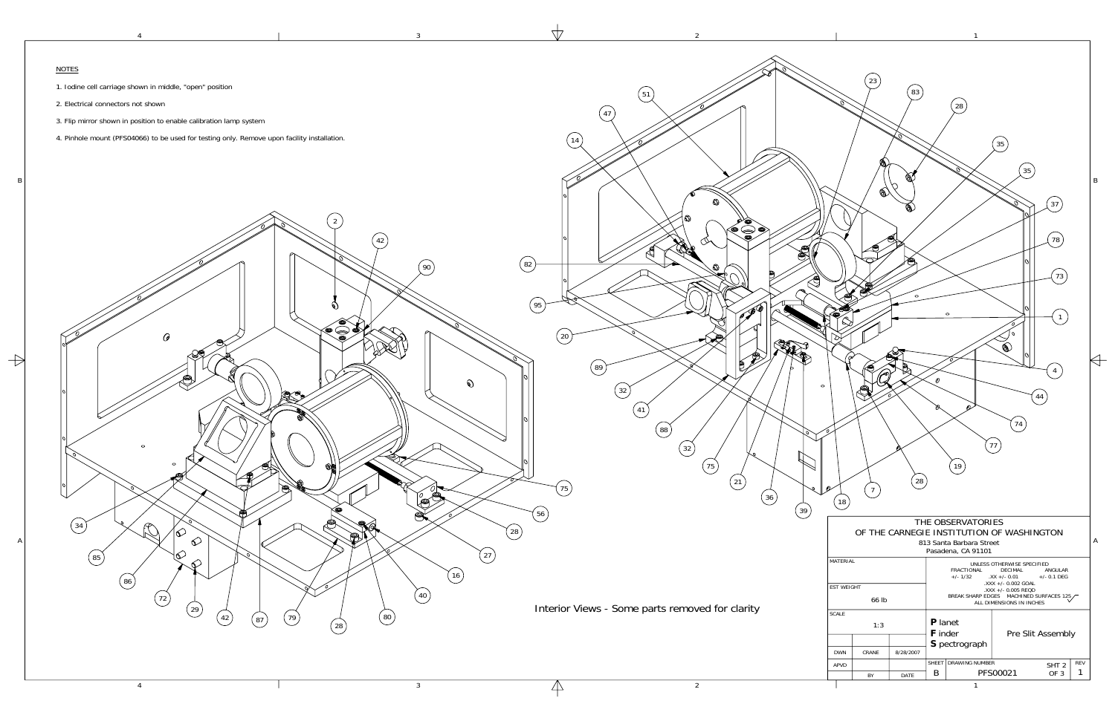1

2

3